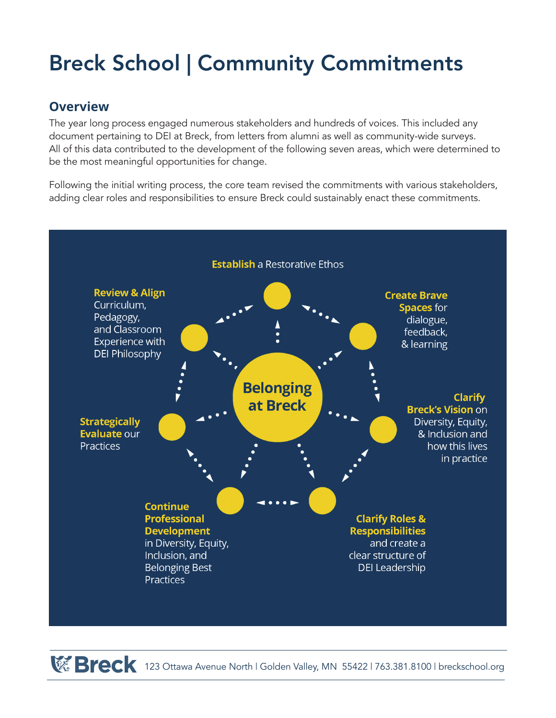# Breck School | Community Commitments

### **Overview**

The year long process engaged numerous stakeholders and hundreds of voices. This included any document pertaining to DEI at Breck, from letters from alumni as well as community-wide surveys. All of this data contributed to the development of the following seven areas, which were determined to be the most meaningful opportunities for change.

Following the initial writing process, the core team revised the commitments with various stakeholders, adding clear roles and responsibilities to ensure Breck could sustainably enact these commitments.



**Breck** 123 Ottawa Avenue North | Golden Valley, MN 55422 | 763.381.8100 | breckschool.org